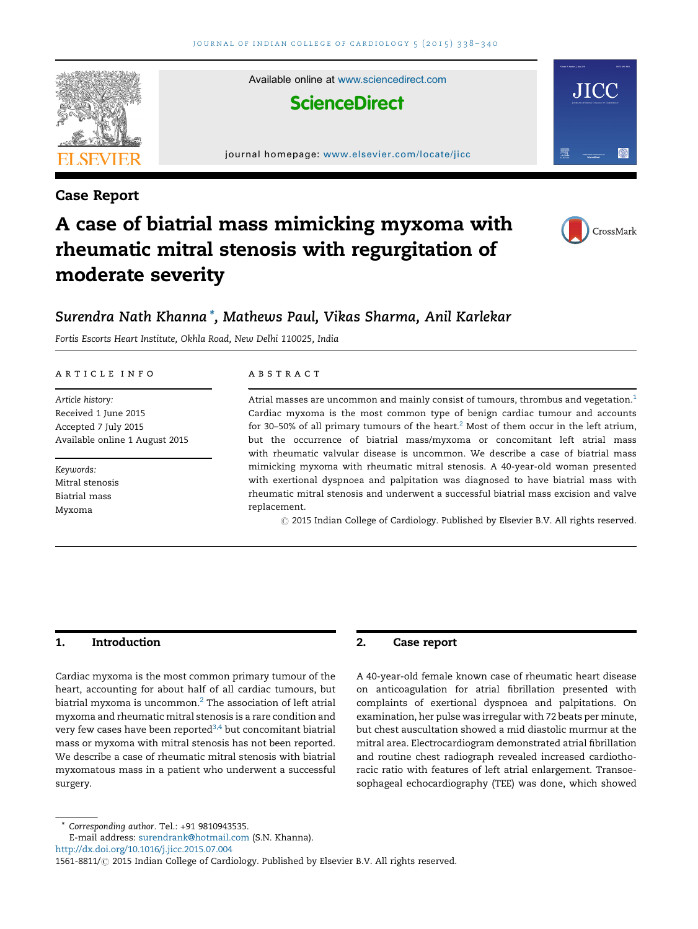

Case Report

Available online at [www.sciencedirect.com](http://www.sciencedirect.com/science/journal/15618811)

# **ScienceDirect**

#### journal homepage: <www.elsevier.com/locate/jicc>



JIC

# A case of biatrial mass mimicking myxoma with rheumatic mitral stenosis with regurgitation of moderate severity



## Surendra Nath Khanna \*, Mathews Paul, Vikas Sharma, Anil Karlekar

Fortis Escorts Heart Institute, Okhla Road, New Delhi 110025, India

#### article info

Article history: Received 1 June 2015 Accepted 7 July 2015 Available online 1 August 2015

Keywords: Mitral stenosis Biatrial mass Myxoma

#### **ABSTRACT**

Atrial masses are uncommon and mainly consist of tumours, thrombus and vegetation.<sup>[1](#page-2-0)</sup> Cardiac myxoma is the most common type of benign cardiac tumour and accounts for 30–50% of all primary tumours of the heart.<sup>[2](#page-2-0)</sup> Most of them occur in the left atrium, but the occurrence of biatrial mass/myxoma or concomitant left atrial mass with rheumatic valvular disease is uncommon. We describe a case of biatrial mass mimicking myxoma with rheumatic mitral stenosis. A 40-year-old woman presented with exertional dyspnoea and palpitation was diagnosed to have biatrial mass with rheumatic mitral stenosis and underwent a successful biatrial mass excision and valve replacement.

 $\odot$  2015 Indian College of Cardiology. Published by Elsevier B.V. All rights reserved.

## 1. Introduction

Cardiac myxoma is the most common primary tumour of the heart, accounting for about half of all cardiac tumours, but biatrial myxoma is uncommon. $<sup>2</sup>$  $<sup>2</sup>$  $<sup>2</sup>$  The association of left atrial</sup> myxoma and rheumatic mitral stenosis is a rare condition and very few cases have been reported $3,4$  but concomitant biatrial mass or myxoma with mitral stenosis has not been reported. We describe a case of rheumatic mitral stenosis with biatrial myxomatous mass in a patient who underwent a successful surgery.

## 2. Case report

A 40-year-old female known case of rheumatic heart disease on anticoagulation for atrial fibrillation presented with complaints of exertional dyspnoea and palpitations. On examination, her pulse was irregular with 72 beats per minute, but chest auscultation showed a mid diastolic murmur at the mitral area. Electrocardiogram demonstrated atrial fibrillation and routine chest radiograph revealed increased cardiothoracic ratio with features of left atrial enlargement. Transoesophageal echocardiography (TEE) was done, which showed

\* Corresponding author. Tel.: +91 9810943535.

<http://dx.doi.org/10.1016/j.jicc.2015.07.004>

E-mail address: [surendrank@hotmail.com](mailto:surendrank@hotmail.com) (S.N. Khanna).

<sup>1561-8811/ 2015</sup> Indian College of Cardiology. Published by Elsevier B.V. All rights reserved.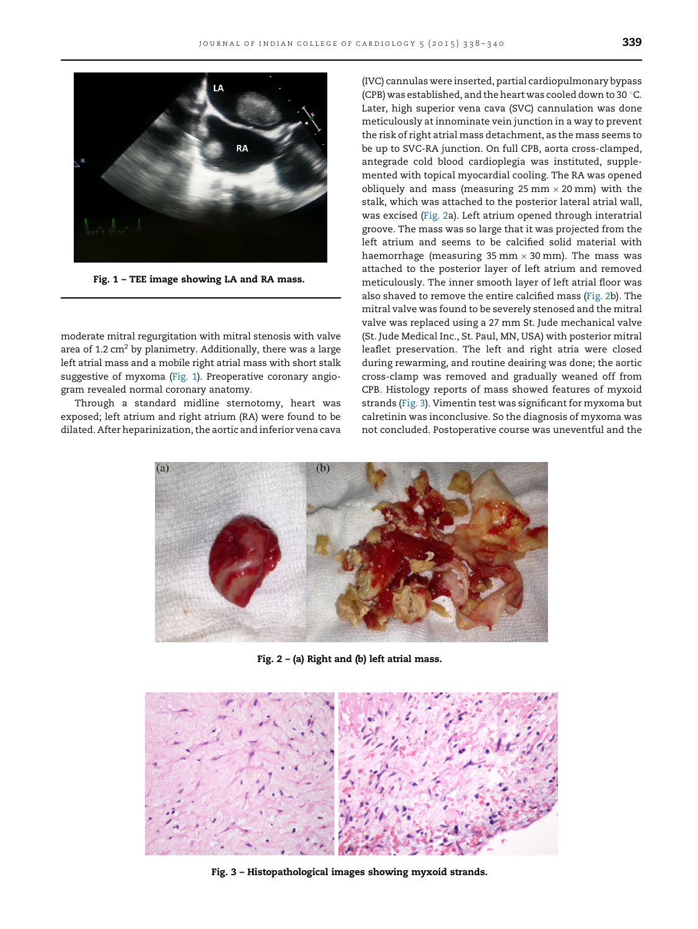

Fig. 1 – TEE image showing LA and RA mass.

moderate mitral regurgitation with mitral stenosis with valve area of 1.2  $\text{cm}^2$  by planimetry. Additionally, there was a large left atrial mass and a mobile right atrial mass with short stalk suggestive of myxoma (Fig. 1). Preoperative coronary angiogram revealed normal coronary anatomy.

Through a standard midline sternotomy, heart was exposed; left atrium and right atrium (RA) were found to be dilated. After heparinization, the aortic and inferior vena cava

(IVC) cannulas were inserted, partial cardiopulmonary bypass (CPB) was established, and the heart was cooled down to 30  $^{\circ}$ C. Later, high superior vena cava (SVC) cannulation was done meticulously at innominate vein junction in a way to prevent the risk of right atrial mass detachment, as the mass seems to be up to SVC-RA junction. On full CPB, aorta cross-clamped, antegrade cold blood cardioplegia was instituted, supplemented with topical myocardial cooling. The RA was opened obliquely and mass (measuring  $25 \text{ mm} \times 20 \text{ mm}$ ) with the stalk, which was attached to the posterior lateral atrial wall, was excised (Fig. 2a). Left atrium opened through interatrial groove. The mass was so large that it was projected from the left atrium and seems to be calcified solid material with haemorrhage (measuring 35 mm  $\times$  30 mm). The mass was attached to the posterior layer of left atrium and removed meticulously. The inner smooth layer of left atrial floor was also shaved to remove the entire calcified mass (Fig. 2b). The mitral valve was found to be severely stenosed and the mitral valve was replaced using a 27 mm St. Jude mechanical valve (St. Jude Medical Inc., St. Paul, MN, USA) with posterior mitral leaflet preservation. The left and right atria were closed during rewarming, and routine deairing was done; the aortic cross-clamp was removed and gradually weaned off from CPB. Histology reports of mass showed features of myxoid strands (Fig. 3). Vimentin test was significant for myxoma but calretinin was inconclusive. So the diagnosis of myxoma was not concluded. Postoperative course was uneventful and the



Fig. 2 – (a) Right and (b) left atrial mass.



Fig. 3 – Histopathological images showing myxoid strands.